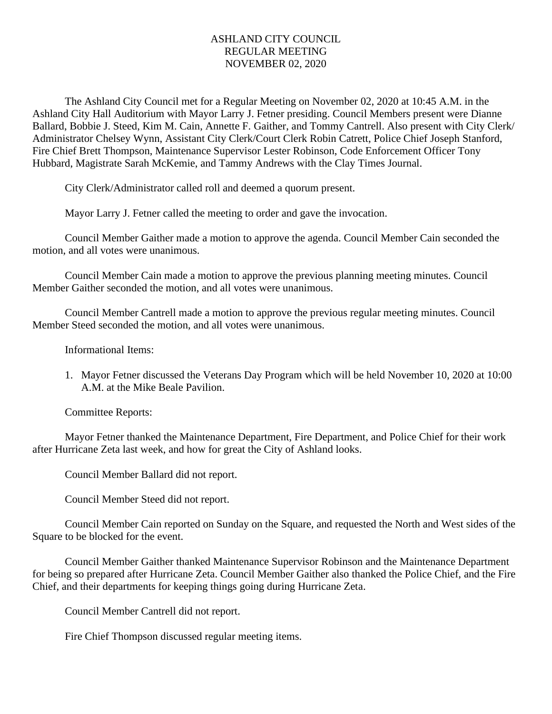## ASHLAND CITY COUNCIL REGULAR MEETING NOVEMBER 02, 2020

The Ashland City Council met for a Regular Meeting on November 02, 2020 at 10:45 A.M. in the Ashland City Hall Auditorium with Mayor Larry J. Fetner presiding. Council Members present were Dianne Ballard, Bobbie J. Steed, Kim M. Cain, Annette F. Gaither, and Tommy Cantrell. Also present with City Clerk/ Administrator Chelsey Wynn, Assistant City Clerk/Court Clerk Robin Catrett, Police Chief Joseph Stanford, Fire Chief Brett Thompson, Maintenance Supervisor Lester Robinson, Code Enforcement Officer Tony Hubbard, Magistrate Sarah McKemie, and Tammy Andrews with the Clay Times Journal.

City Clerk/Administrator called roll and deemed a quorum present.

Mayor Larry J. Fetner called the meeting to order and gave the invocation.

Council Member Gaither made a motion to approve the agenda. Council Member Cain seconded the motion, and all votes were unanimous.

Council Member Cain made a motion to approve the previous planning meeting minutes. Council Member Gaither seconded the motion, and all votes were unanimous.

Council Member Cantrell made a motion to approve the previous regular meeting minutes. Council Member Steed seconded the motion, and all votes were unanimous.

Informational Items:

1. Mayor Fetner discussed the Veterans Day Program which will be held November 10, 2020 at 10:00 A.M. at the Mike Beale Pavilion.

Committee Reports:

Mayor Fetner thanked the Maintenance Department, Fire Department, and Police Chief for their work after Hurricane Zeta last week, and how for great the City of Ashland looks.

Council Member Ballard did not report.

Council Member Steed did not report.

Council Member Cain reported on Sunday on the Square, and requested the North and West sides of the Square to be blocked for the event.

Council Member Gaither thanked Maintenance Supervisor Robinson and the Maintenance Department for being so prepared after Hurricane Zeta. Council Member Gaither also thanked the Police Chief, and the Fire Chief, and their departments for keeping things going during Hurricane Zeta.

Council Member Cantrell did not report.

Fire Chief Thompson discussed regular meeting items.